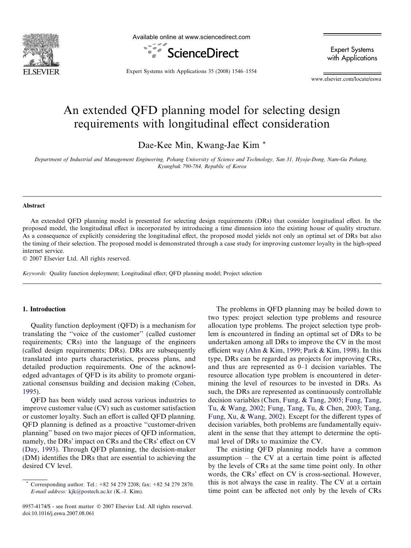

Available online at www.sciencedirect.com



Expert Systems with Applications

Expert Systems with Applications 35 (2008) 1546–1554

www.elsevier.com/locate/eswa

# An extended QFD planning model for selecting design requirements with longitudinal effect consideration

Dae-Kee Min, Kwang-Jae Kim \*

Department of Industrial and Management Engineering, Pohang University of Science and Technology, San 31, Hyoja-Dong, Nam-Gu Pohang, Kyungbuk 790-784, Republic of Korea

### Abstract

An extended QFD planning model is presented for selecting design requirements (DRs) that consider longitudinal effect. In the proposed model, the longitudinal effect is incorporated by introducing a time dimension into the existing house of quality structure. As a consequence of explicitly considering the longitudinal effect, the proposed model yields not only an optimal set of DRs but also the timing of their selection. The proposed model is demonstrated through a case study for improving customer loyalty in the high-speed internet service.

- 2007 Elsevier Ltd. All rights reserved.

Keywords: Quality function deployment; Longitudinal effect; QFD planning model; Project selection

## 1. Introduction

Quality function deployment (QFD) is a mechanism for translating the ''voice of the customer'' (called customer requirements; CRs) into the language of the engineers (called design requirements; DRs). DRs are subsequently translated into parts characteristics, process plans, and detailed production requirements. One of the acknowledged advantages of QFD is its ability to promote organizational consensus building and decision making ([Cohen,](#page--1-0) [1995\)](#page--1-0).

QFD has been widely used across various industries to improve customer value (CV) such as customer satisfaction or customer loyalty. Such an effort is called QFD planning. QFD planning is defined as a proactive ''customer-driven planning'' based on two major pieces of QFD information, namely, the DRs' impact on CRs and the CRs' effect on CV [\(Day, 1993\)](#page--1-0). Through QFD planning, the decision-maker (DM) identifies the DRs that are essential to achieving the desired CV level.

0957-4174/\$ - see front matter © 2007 Elsevier Ltd. All rights reserved. doi:10.1016/j.eswa.2007.08.061

The problems in QFD planning may be boiled down to two types: project selection type problems and resource allocation type problems. The project selection type problem is encountered in finding an optimal set of DRs to be undertaken among all DRs to improve the CV in the most efficient way ([Ahn & Kim, 1999; Park & Kim, 1998](#page--1-0)). In this type, DRs can be regarded as projects for improving CRs, and thus are represented as 0–1 decision variables. The resource allocation type problem is encountered in determining the level of resources to be invested in DRs. As such, the DRs are represented as continuously controllable decision variables [\(Chen, Fung, & Tang, 2005; Fung, Tang,](#page--1-0) [Tu, & Wang, 2002; Fung, Tang, Tu, & Chen, 2003; Tang,](#page--1-0) [Fung, Xu, & Wang, 2002](#page--1-0)). Except for the different types of decision variables, both problems are fundamentally equivalent in the sense that they attempt to determine the optimal level of DRs to maximize the CV.

The existing QFD planning models have a common assumption – the CV at a certain time point is affected by the levels of CRs at the same time point only. In other words, the CRs' effect on CV is cross-sectional. However, this is not always the case in reality. The CV at a certain time point can be affected not only by the levels of CRs

Corresponding author. Tel.: +82 54 279 2208; fax: +82 54 279 2870. E-mail address: [kjk@postech.ac.kr](mailto:kjk@postech.ac.kr) (K.-J. Kim).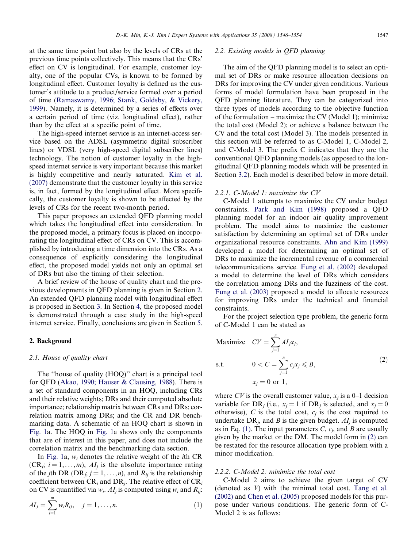at the same time point but also by the levels of CRs at the previous time points collectively. This means that the CRs' effect on CV is longitudinal. For example, customer loyalty, one of the popular CVs, is known to be formed by longitudinal effect. Customer loyalty is defined as the customer's attitude to a product/service formed over a period of time ([Ramaswamy, 1996; Stank, Goldsby, & Vickery,](#page--1-0) [1999](#page--1-0)). Namely, it is determined by a series of effects over a certain period of time (viz. longitudinal effect), rather than by the effect at a specific point of time.

The high-speed internet service is an internet-access service based on the ADSL (asymmetric digital subscriber lines) or VDSL (very high-speed digital subscriber lines) technology. The notion of customer loyalty in the highspeed internet service is very important because this market is highly competitive and nearly saturated. [Kim et al.](#page--1-0) [\(2007\)](#page--1-0) demonstrate that the customer loyalty in this service is, in fact, formed by the longitudinal effect. More specifically, the customer loyalty is shown to be affected by the levels of CRs for the recent two-month period.

This paper proposes an extended QFD planning model which takes the longitudinal effect into consideration. In the proposed model, a primary focus is placed on incorporating the longitudinal effect of CRs on CV. This is accomplished by introducing a time dimension into the CRs. As a consequence of explicitly considering the longitudinal effect, the proposed model yields not only an optimal set of DRs but also the timing of their selection.

A brief review of the house of quality chart and the previous developments in QFD planning is given in Section 2. An extended QFD planning model with longitudinal effect is proposed in Section [3](#page--1-0). In Section [4,](#page--1-0) the proposed model is demonstrated through a case study in the high-speed internet service. Finally, conclusions are given in Section [5.](#page--1-0)

## 2. Background

# 2.1. House of quality chart

The ''house of quality (HOQ)'' chart is a principal tool for QFD [\(Akao, 1990; Hauser & Clausing, 1988](#page--1-0)). There is a set of standard components in an HOQ, including CRs and their relative weights; DRs and their computed absolute importance; relationship matrix between CRs and DRs; correlation matrix among DRs; and the CR and DR benchmarking data. A schematic of an HOQ chart is shown in [Fig. 1](#page--1-0)a. The HOQ in [Fig. 1a](#page--1-0) shows only the components that are of interest in this paper, and does not include the correlation matrix and the benchmarking data section.

In [Fig. 1a](#page--1-0),  $w_i$  denotes the relative weight of the *i*th CR  $(CR_i; i = 1, \ldots, m)$ , AI<sub>i</sub> is the absolute importance rating of the jth DR (DR<sub>j</sub>;  $j = 1, ..., n$ ), and  $R_{ij}$  is the relationship coefficient between  $CR_i$  and  $DR_j$ . The relative effect of  $CR_i$ on CV is quantified via  $w_i$ . AI<sub>i</sub> is computed using  $w_i$  and  $R_{ii}$ .

$$
AI_j = \sum_{i=1}^{m} w_i R_{ij}, \quad j = 1, \dots, n.
$$
 (1)

## 2.2. Existing models in QFD planning

The aim of the QFD planning model is to select an optimal set of DRs or make resource allocation decisions on DRs for improving the CV under given conditions. Various forms of model formulation have been proposed in the QFD planning literature. They can be categorized into three types of models according to the objective function of the formulation – maximize the CV (Model 1); minimize the total cost (Model 2); or achieve a balance between the CV and the total cost (Model 3). The models presented in this section will be referred to as C-Model 1, C-Model 2, and C-Model 3. The prefix C indicates that they are the conventional QFD planning models (as opposed to the longitudinal QFD planning models which will be presented in Section [3.2](#page--1-0)). Each model is described below in more detail.

#### 2.2.1. C-Model 1: maximize the CV

C-Model 1 attempts to maximize the CV under budget constraints. [Park and Kim \(1998\)](#page--1-0) proposed a QFD planning model for an indoor air quality improvement problem. The model aims to maximize the customer satisfaction by determining an optimal set of DRs under organizational resource constraints. [Ahn and Kim \(1999\)](#page--1-0) developed a model for determining an optimal set of DRs to maximize the incremental revenue of a commercial telecommunications service. [Fung et al. \(2002\)](#page--1-0) developed a model to determine the level of DRs which considers the correlation among DRs and the fuzziness of the cost. [Fung et al. \(2003\)](#page--1-0) proposed a model to allocate resources for improving DRs under the technical and financial constraints.

For the project selection type problem, the generic form of C-Model 1 can be stated as

Maximize 
$$
CV = \sum_{j=1}^{n} AI_j x_j
$$
,  
s.t.  $0 < C = \sum_{j=1}^{n} c_j x_j \le B$ ,

 $x_i = 0$  or 1,

where CV is the overall customer value,  $x_i$  is a 0–1 decision variable for DR<sub>i</sub> (i.e.,  $x_i = 1$  if DR<sub>i</sub> is selected, and  $x_i = 0$ otherwise), C is the total cost,  $c_i$  is the cost required to undertake  $DR<sub>i</sub>$ , and B is the given budget.  $AI<sub>i</sub>$  is computed as in Eq. (1). The input parameters C,  $c_i$ , and B are usually given by the market or the DM. The model form in (2) can be restated for the resource allocation type problem with a minor modification.

### 2.2.2. C-Model 2: minimize the total cost

C-Model 2 aims to achieve the given target of CV (denoted as  $V$ ) with the minimal total cost. [Tang et al.](#page--1-0) [\(2002\)](#page--1-0) and [Chen et al. \(2005\)](#page--1-0) proposed models for this purpose under various conditions. The generic form of C-Model 2 is as follows:

 $(2)$